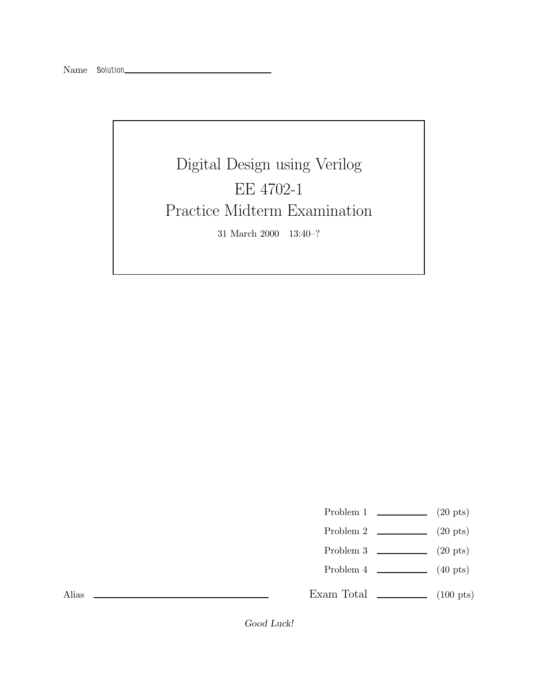Digital Design using Verilog EE 4702-1 Practice Midterm Examination 31 March 2000 13:40–?

- Problem 1  $\qquad \qquad$  (20 pts)
- Problem 2 (20 pts)
- Problem 3 (20 pts)
- Problem 4  $\sim$  (40 pts)

Exam Total  $\qquad \qquad$  (100 pts)

Alias

*Good Luck!*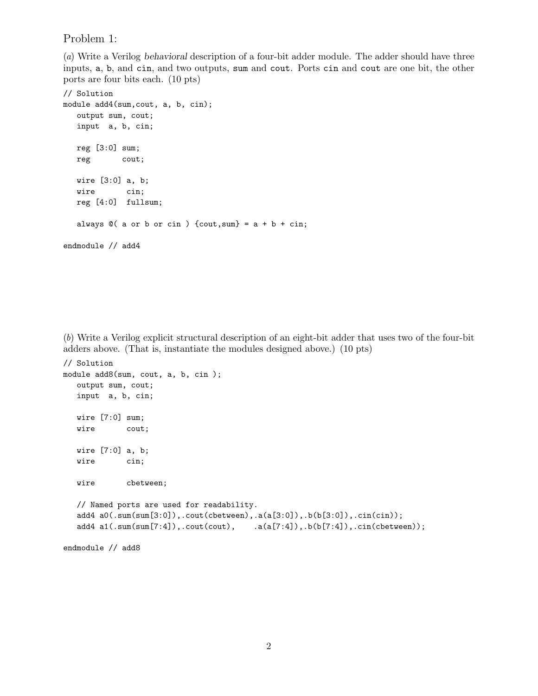Problem 1:

(a) Write a Verilog *behavioral* description of a four-bit adder module. The adder should have three inputs, a, b, and cin, and two outputs, sum and cout. Ports cin and cout are one bit, the other ports are four bits each. (10 pts)

```
// Solution
module add4(sum,cout, a, b, cin);
  output sum, cout;
  input a, b, cin;
  reg [3:0] sum;
  reg cout;
  wire [3:0] a, b;
  wire cin;
  reg [4:0] fullsum;
  always @( a or b or cin ) { (cout, sum } = a + b + cin;endmodule // add4
```
(b) Write a Verilog explicit structural description of an eight-bit adder that uses two of the four-bit adders above. (That is, instantiate the modules designed above.) (10 pts)

```
// Solution
module add8(sum, cout, a, b, cin );
  output sum, cout;
  input a, b, cin;
  wire [7:0] sum;
  wire cout;
  wire [7:0] a, b;
  wire cin;
  wire cbetween;
  // Named ports are used for readability.
  add4 a0(.sum(sum[3:0]),.cout(cbetween),.a(a[3:0]),.b(b[3:0]),.cin(cin));
  add4 a1(.sum(sum[7:4]),.cout(cout), .a(a[7:4]),.b(b[7:4]),.cin(cbetween));
```

```
endmodule // add8
```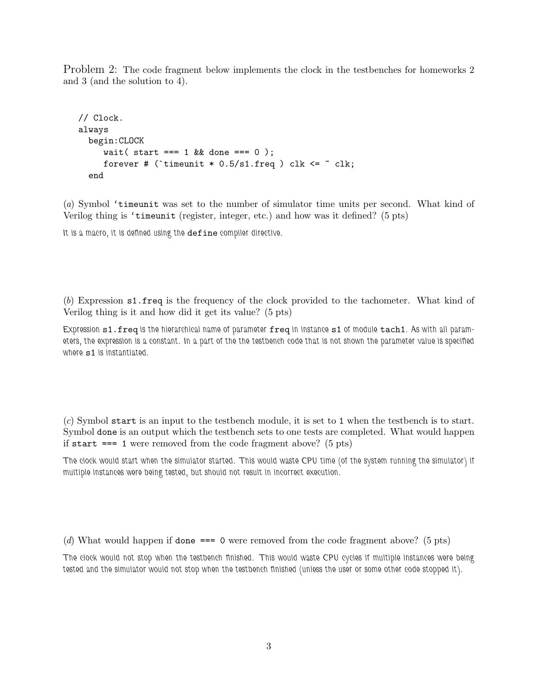Problem 2: The code fragment below implements the clock in the testbenches for homeworks 2 and 3 (and the solution to 4).

```
// Clock.
always
  begin:CLOCK
     wait ( start === 1 \& done === 0 );
     forever # ('timeunit * 0.5/s1. freq ) clk \leq \sim clk;
  end
```
(a) Symbol 'timeunit was set to the number of simulator time units per second. What kind of Verilog thing is 'timeunit (register, integer, etc.) and how was it defined? (5 pts)

It is a macro, it is defined using the  $\operatorname{define}$  compiler directive.

(b) Expression s1.freq is the frequency of the clock provided to the tachometer. What kind of Verilog thing is it and how did it get its value? (5 pts)

*Expression* s1.freq *is the hierarchical name of parameter* freq *in instance* s1 *of module* tach1*. As with all parameters, the expression is a constant. In a part of the the testbench code that is not shown the parameter value is specified where* s1 *is instantiated.*

(c) Symbol start is an input to the testbench module, it is set to 1 when the testbench is to start. Symbol done is an output which the testbench sets to one tests are completed. What would happen if start  $== 1$  were removed from the code fragment above? (5 pts)

*The clock would start when the simulator started. This would waste CPU time (of the system running the simulator) if multiple instances were being tested, but should not result in incorrect execution.*

(d) What would happen if done === 0 were removed from the code fragment above? (5 pts)

*The clock would not stop when the testbench finished. This would waste CPU cycles if multiple instances were being tested and the simulator would not stop when the testbench finished (unless the user or some other code stopped it).*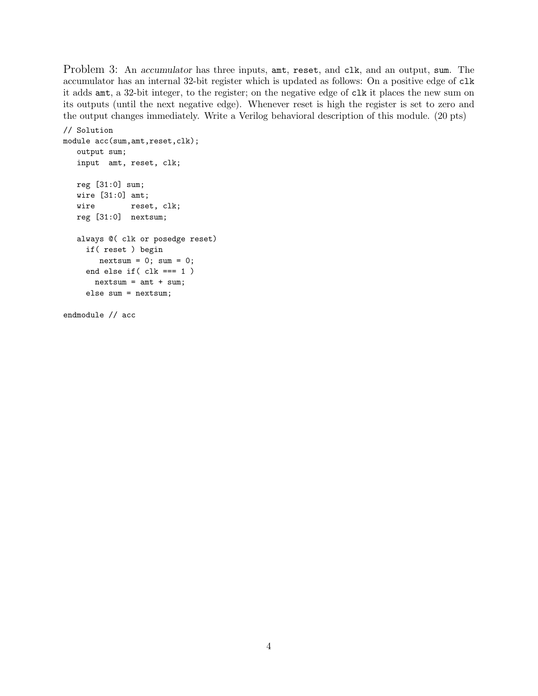Problem 3: An *accumulator* has three inputs, ant, reset, and clk, and an output, sum. The accumulator has an internal 32-bit register which is updated as follows: On a positive edge of clk it adds amt, a 32-bit integer, to the register; on the negative edge of clk it places the new sum on its outputs (until the next negative edge). Whenever reset is high the register is set to zero and the output changes immediately. Write a Verilog behavioral description of this module. (20 pts)

```
// Solution
module acc(sum,amt,reset,clk);
   output sum;
   input amt, reset, clk;
   reg [31:0] sum;
   wire [31:0] amt;
   wire reset, clk;
   reg [31:0] nextsum;
   always @( clk or posedge reset)
     if( reset ) begin
       nextsum = 0; sum = 0;end else if( clk === 1 )
      nextsum = amt + sum;else sum = nextsum;
```
endmodule // acc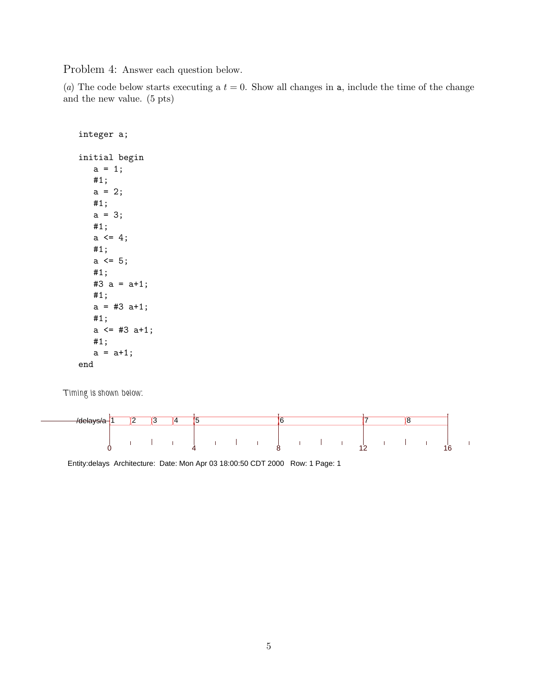Problem 4: Answer each question below.

(a) The code below starts executing a  $t = 0$ . Show all changes in a, include the time of the change and the new value. (5 pts)

```
integer a;
initial begin
   a = 1;#1;
   a = 2;#1;
   a = 3;#1;
   a \leq 4;
   #1;
   a \leq 5;#1;
   #3 a = a+1;
   #1;
   a = #3 a+1;#1;
   a \leq 43 a+1;
   #1;
   a = a+1;end
```
*Timing is shown below:*



Entity:delays Architecture: Date: Mon Apr 03 18:00:50 CDT 2000 Row: 1 Page: 1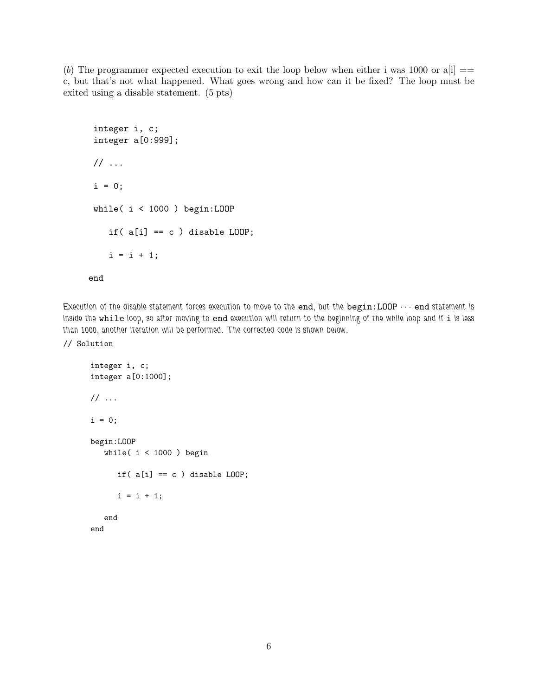(b) The programmer expected execution to exit the loop below when either i was 1000 or  $a[i] ==$ c, but that's not what happened. What goes wrong and how can it be fixed? The loop must be exited using a disable statement. (5 pts)

```
integer i, c;
integer a[0:999];
// ...
i = 0;while( i < 1000 ) begin:LOOP
   if(a[i] == c) disable LOOP;
   i = i + 1;
```
end

*Execution of the disable statement forces execution to move to the* end*, but the* begin:LOOP ··· end *statement is inside the* while *loop, so after moving to* end *execution will return to the beginning of the while loop and if* i *is less than 1000, another iteration will be performed. The corrected code is shown below.*

// Solution

```
integer i, c;
integer a[0:1000];
// ...
i = 0;begin:LOOP
   while( i < 1000 ) begin
      if(a[i] == c) disable LOOP;
      i = i + 1;end
end
```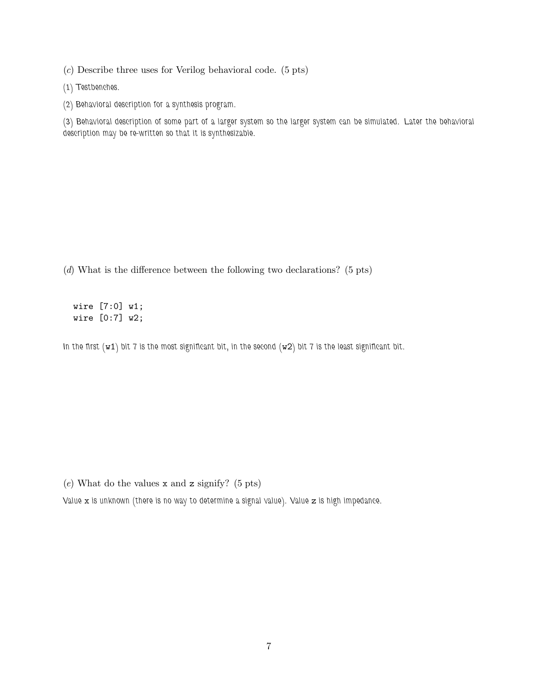(c) Describe three uses for Verilog behavioral code. (5 pts)

*(1) Testbenches.*

*(2) Behavioral description for a synthesis program.*

*(3) Behavioral description of some part of a larger system so the larger system can be simulated. Later the behavioral description may be re-written so that it is synthesizable.*

(d) What is the difference between the following two declarations? (5 pts)

wire [7:0] w1; wire [0:7] w2;

*In the first (*w1*) bit 7 is the most significant bit, in the second (*w2*) bit 7 is the least significant bit.*

 $(e)$  What do the values x and z signify? (5 pts)

*Value* x *is unknown (there is no way to determine a signal value). Value* z *is high impedance.*